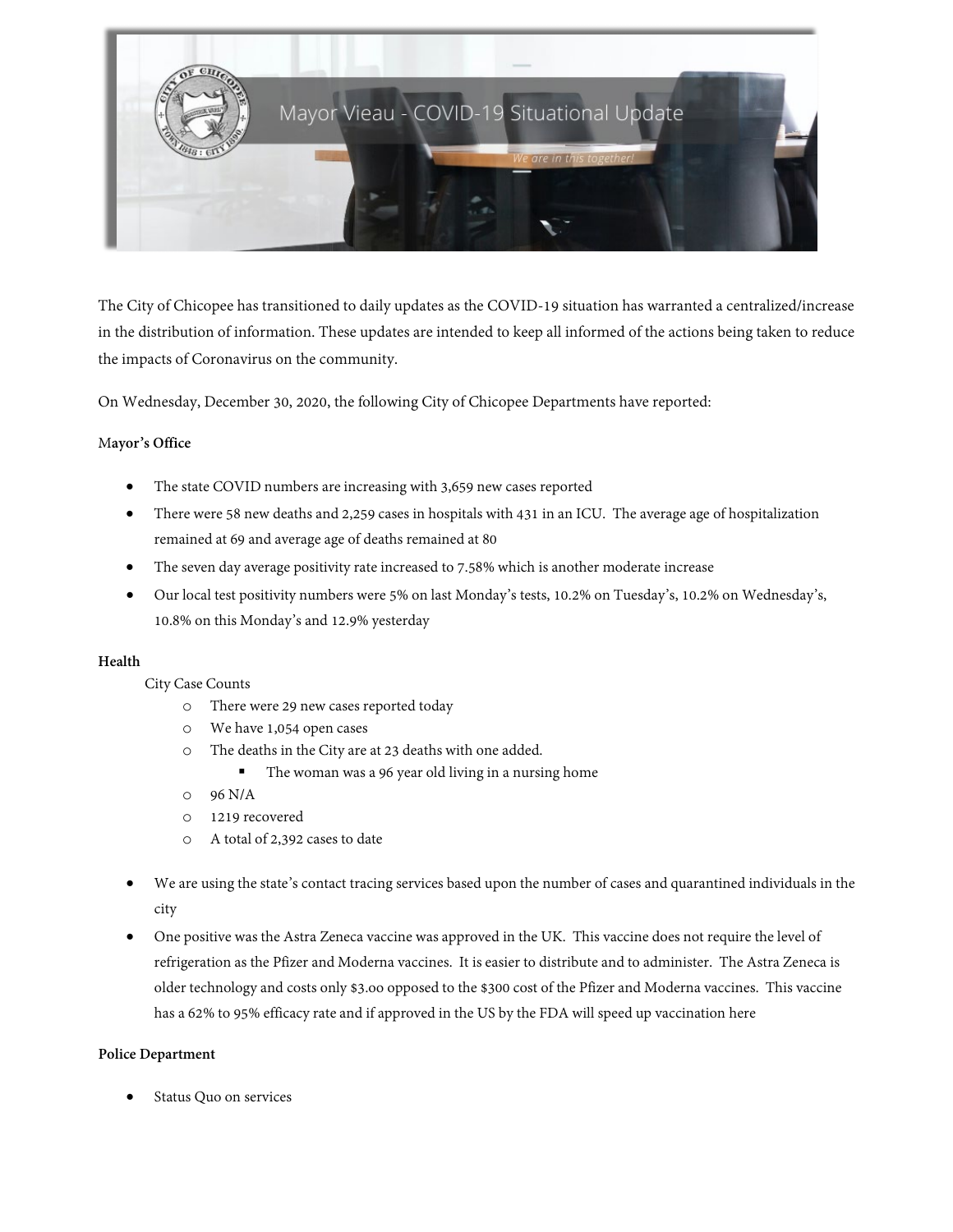

The City of Chicopee has transitioned to daily updates as the COVID-19 situation has warranted a centralized/increase in the distribution of information. These updates are intended to keep all informed of the actions being taken to reduce the impacts of Coronavirus on the community.

On Wednesday, December 30, 2020, the following City of Chicopee Departments have reported:

## M**ayor's Office**

- The state COVID numbers are increasing with 3,659 new cases reported
- There were 58 new deaths and 2,259 cases in hospitals with 431 in an ICU. The average age of hospitalization remained at 69 and average age of deaths remained at 80
- The seven day average positivity rate increased to 7.58% which is another moderate increase
- Our local test positivity numbers were 5% on last Monday's tests, 10.2% on Tuesday's, 10.2% on Wednesday's, 10.8% on this Monday's and 12.9% yesterday

## **Health**

## City Case Counts

- o There were 29 new cases reported today
- o We have 1,054 open cases
- o The deaths in the City are at 23 deaths with one added.
	- The woman was a 96 year old living in a nursing home
- o 96 N/A
- o 1219 recovered
- o A total of 2,392 cases to date
- We are using the state's contact tracing services based upon the number of cases and quarantined individuals in the city
- One positive was the Astra Zeneca vaccine was approved in the UK. This vaccine does not require the level of refrigeration as the Pfizer and Moderna vaccines. It is easier to distribute and to administer. The Astra Zeneca is older technology and costs only \$3.oo opposed to the \$300 cost of the Pfizer and Moderna vaccines. This vaccine has a 62% to 95% efficacy rate and if approved in the US by the FDA will speed up vaccination here

## **Police Department**

Status Quo on services